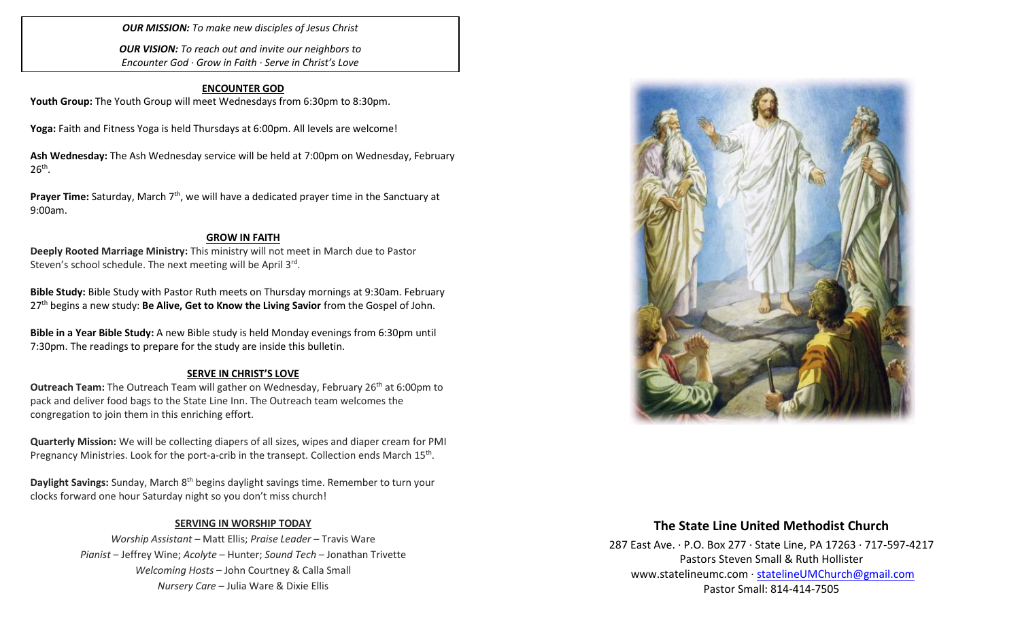*OUR MISSION: To make new disciples of Jesus Christ*

*OUR VISION: To reach out and invite our neighbors to Encounter God · Grow in Faith · Serve in Christ's Love*

### **ENCOUNTER GOD**

Youth Group: The Youth Group will meet Wednesdays from 6:30pm to 8:30pm.

**Yoga:** Faith and Fitness Yoga is held Thursdays at 6:00pm. All levels are welcome!

**Ash Wednesday:** The Ash Wednesday service will be held at 7:00pm on Wednesday, February  $26<sup>th</sup>$ .

**Prayer Time:** Saturday, March 7<sup>th</sup>, we will have a dedicated prayer time in the Sanctuary at 9:00am.

### **GROW IN FAITH**

**Deeply Rooted Marriage Ministry:** This ministry will not meet in March due to Pastor Steven's school schedule. The next meeting will be April 3rd.

**Bible Study:** Bible Study with Pastor Ruth meets on Thursday mornings at 9:30am. February 27th begins a new study: **Be Alive, Get to Know the Living Savior** from the Gospel of John.

**Bible in a Year Bible Study:** A new Bible study is held Monday evenings from 6:30pm until 7:30pm. The readings to prepare for the study are inside this bulletin.

### **SERVE IN CHRIST'S LOVE**

**Outreach Team:** The Outreach Team will gather on Wednesday, February 26<sup>th</sup> at 6:00pm to pack and deliver food bags to the State Line Inn. The Outreach team welcomes the congregation to join them in this enriching effort.

**Quarterly Mission:** We will be collecting diapers of all sizes, wipes and diaper cream for PMI Pregnancy Ministries. Look for the port-a-crib in the transept. Collection ends March 15<sup>th</sup>.

**Daylight Savings:** Sunday, March 8th begins daylight savings time. Remember to turn your clocks forward one hour Saturday night so you don't miss church!

### **SERVING IN WORSHIP TODAY**

*Worship Assistant* – Matt Ellis; *Praise Leader* – Travis Ware *Pianist* – Jeffrey Wine; *Acolyte* – Hunter; *Sound Tech* – Jonathan Trivette *Welcoming Hosts* – John Courtney & Calla Small *Nursery Care* – Julia Ware & Dixie Ellis



# **The State Line United Methodist Church**

287 East Ave. · P.O. Box 277 · State Line, PA 17263 · 717-597-4217 Pastors Steven Small & Ruth Hollister [www.statelineumc.com](http://www.statelineumc.com/) · [statelineUMChurch@gmail.com](mailto:statelineUMChurch@gmail.com) Pastor Small: 814-414-7505